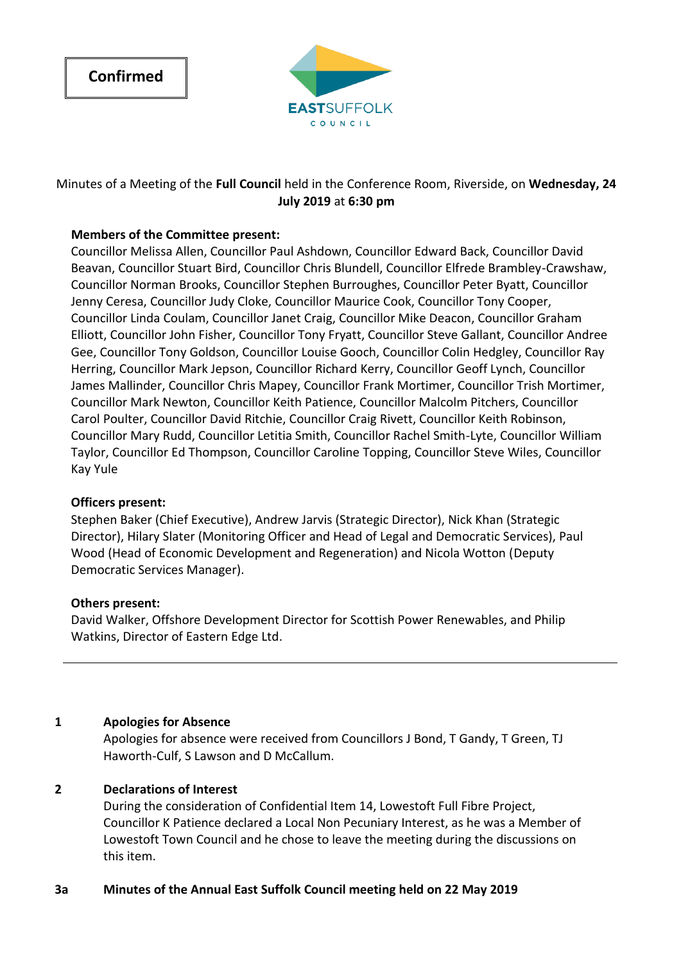

# Minutes of a Meeting of the **Full Council** held in the Conference Room, Riverside, on **Wednesday, 24 July 2019** at **6:30 pm**

## **Members of the Committee present:**

Councillor Melissa Allen, Councillor Paul Ashdown, Councillor Edward Back, Councillor David Beavan, Councillor Stuart Bird, Councillor Chris Blundell, Councillor Elfrede Brambley-Crawshaw, Councillor Norman Brooks, Councillor Stephen Burroughes, Councillor Peter Byatt, Councillor Jenny Ceresa, Councillor Judy Cloke, Councillor Maurice Cook, Councillor Tony Cooper, Councillor Linda Coulam, Councillor Janet Craig, Councillor Mike Deacon, Councillor Graham Elliott, Councillor John Fisher, Councillor Tony Fryatt, Councillor Steve Gallant, Councillor Andree Gee, Councillor Tony Goldson, Councillor Louise Gooch, Councillor Colin Hedgley, Councillor Ray Herring, Councillor Mark Jepson, Councillor Richard Kerry, Councillor Geoff Lynch, Councillor James Mallinder, Councillor Chris Mapey, Councillor Frank Mortimer, Councillor Trish Mortimer, Councillor Mark Newton, Councillor Keith Patience, Councillor Malcolm Pitchers, Councillor Carol Poulter, Councillor David Ritchie, Councillor Craig Rivett, Councillor Keith Robinson, Councillor Mary Rudd, Councillor Letitia Smith, Councillor Rachel Smith-Lyte, Councillor William Taylor, Councillor Ed Thompson, Councillor Caroline Topping, Councillor Steve Wiles, Councillor Kay Yule

## **Officers present:**

Stephen Baker (Chief Executive), Andrew Jarvis (Strategic Director), Nick Khan (Strategic Director), Hilary Slater (Monitoring Officer and Head of Legal and Democratic Services), Paul Wood (Head of Economic Development and Regeneration) and Nicola Wotton (Deputy Democratic Services Manager).

#### **Others present:**

David Walker, Offshore Development Director for Scottish Power Renewables, and Philip Watkins, Director of Eastern Edge Ltd.

## **1 Apologies for Absence**

Apologies for absence were received from Councillors J Bond, T Gandy, T Green, TJ Haworth-Culf, S Lawson and D McCallum.

## **2 Declarations of Interest**

During the consideration of Confidential Item 14, Lowestoft Full Fibre Project, Councillor K Patience declared a Local Non Pecuniary Interest, as he was a Member of Lowestoft Town Council and he chose to leave the meeting during the discussions on this item.

## **3a Minutes of the Annual East Suffolk Council meeting held on 22 May 2019**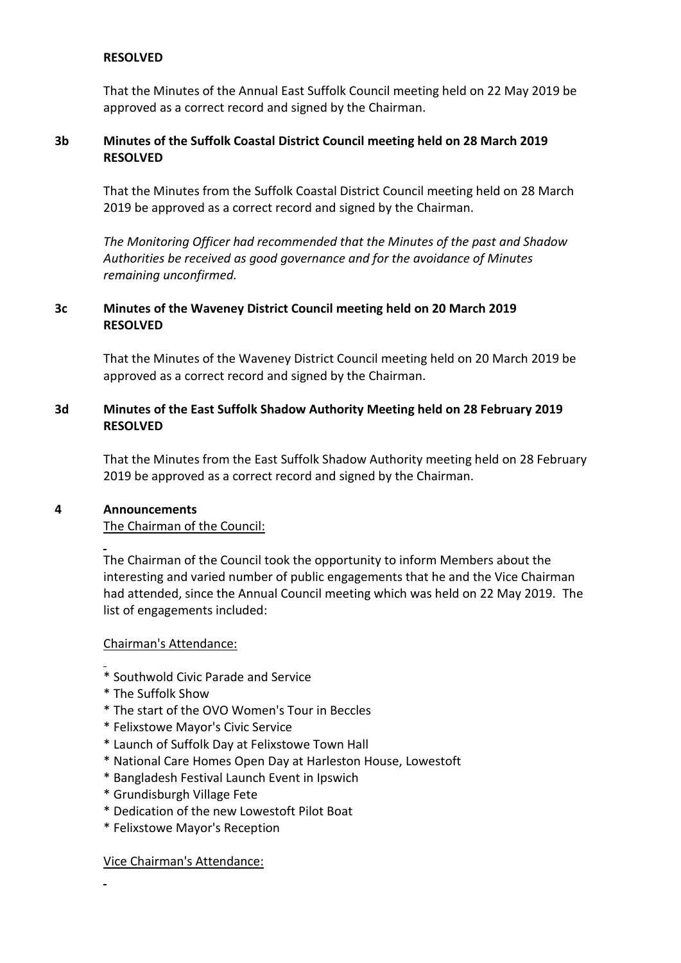### **RESOLVED**

That the Minutes of the Annual East Suffolk Council meeting held on 22 May 2019 be approved as a correct record and signed by the Chairman.

### **3b Minutes of the Suffolk Coastal District Council meeting held on 28 March 2019 RESOLVED**

That the Minutes from the Suffolk Coastal District Council meeting held on 28 March 2019 be approved as a correct record and signed by the Chairman.

*The Monitoring Officer had recommended that the Minutes of the past and Shadow Authorities be received as good governance and for the avoidance of Minutes remaining unconfirmed.*

## **3c Minutes of the Waveney District Council meeting held on 20 March 2019 RESOLVED**

That the Minutes of the Waveney District Council meeting held on 20 March 2019 be approved as a correct record and signed by the Chairman.

## **3d Minutes of the East Suffolk Shadow Authority Meeting held on 28 February 2019 RESOLVED**

That the Minutes from the East Suffolk Shadow Authority meeting held on 28 February 2019 be approved as a correct record and signed by the Chairman.

#### **4 Announcements**

l

l

l

#### The Chairman of the Council:

The Chairman of the Council took the opportunity to inform Members about the interesting and varied number of public engagements that he and the Vice Chairman had attended, since the Annual Council meeting which was held on 22 May 2019. The list of engagements included:

#### Chairman's Attendance:

- \* Southwold Civic Parade and Service
- \* The Suffolk Show
- \* The start of the OVO Women's Tour in Beccles
- \* Felixstowe Mayor's Civic Service
- \* Launch of Suffolk Day at Felixstowe Town Hall
- \* National Care Homes Open Day at Harleston House, Lowestoft
- \* Bangladesh Festival Launch Event in Ipswich
- \* Grundisburgh Village Fete
- \* Dedication of the new Lowestoft Pilot Boat
- \* Felixstowe Mayor's Reception

#### Vice Chairman's Attendance: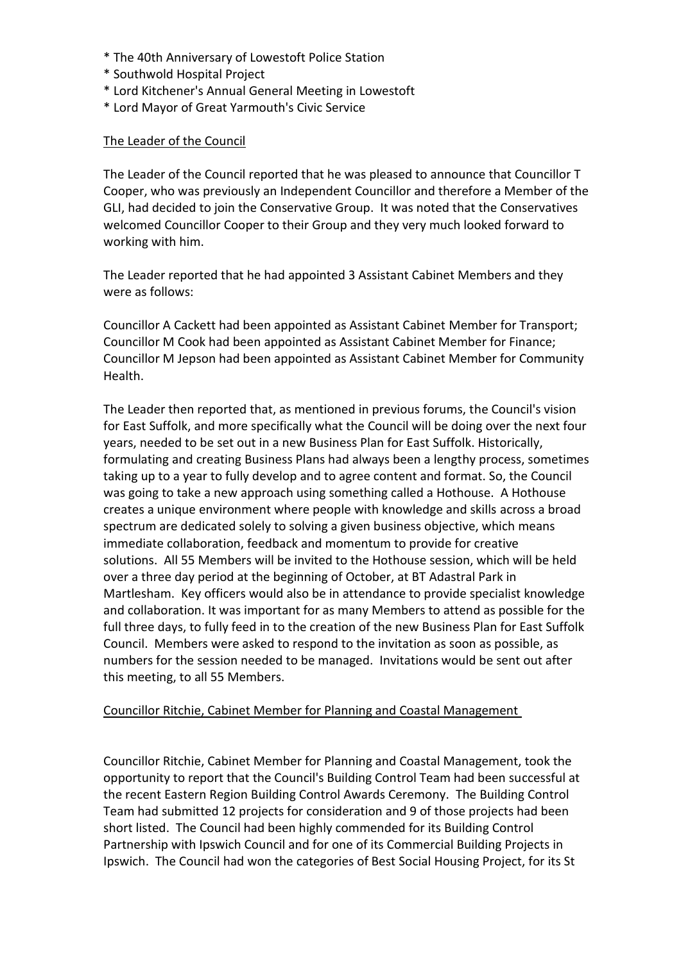- \* The 40th Anniversary of Lowestoft Police Station
- \* Southwold Hospital Project
- \* Lord Kitchener's Annual General Meeting in Lowestoft
- \* Lord Mayor of Great Yarmouth's Civic Service

### The Leader of the Council

The Leader of the Council reported that he was pleased to announce that Councillor T Cooper, who was previously an Independent Councillor and therefore a Member of the GLI, had decided to join the Conservative Group. It was noted that the Conservatives welcomed Councillor Cooper to their Group and they very much looked forward to working with him.

The Leader reported that he had appointed 3 Assistant Cabinet Members and they were as follows:

Councillor A Cackett had been appointed as Assistant Cabinet Member for Transport; Councillor M Cook had been appointed as Assistant Cabinet Member for Finance; Councillor M Jepson had been appointed as Assistant Cabinet Member for Community Health.

The Leader then reported that, as mentioned in previous forums, the Council's vision for East Suffolk, and more specifically what the Council will be doing over the next four years, needed to be set out in a new Business Plan for East Suffolk. Historically, formulating and creating Business Plans had always been a lengthy process, sometimes taking up to a year to fully develop and to agree content and format. So, the Council was going to take a new approach using something called a Hothouse. A Hothouse creates a unique environment where people with knowledge and skills across a broad spectrum are dedicated solely to solving a given business objective, which means immediate collaboration, feedback and momentum to provide for creative solutions. All 55 Members will be invited to the Hothouse session, which will be held over a three day period at the beginning of October, at BT Adastral Park in Martlesham. Key officers would also be in attendance to provide specialist knowledge and collaboration. It was important for as many Members to attend as possible for the full three days, to fully feed in to the creation of the new Business Plan for East Suffolk Council. Members were asked to respond to the invitation as soon as possible, as numbers for the session needed to be managed. Invitations would be sent out after this meeting, to all 55 Members.

#### Councillor Ritchie, Cabinet Member for Planning and Coastal Management

Councillor Ritchie, Cabinet Member for Planning and Coastal Management, took the opportunity to report that the Council's Building Control Team had been successful at the recent Eastern Region Building Control Awards Ceremony. The Building Control Team had submitted 12 projects for consideration and 9 of those projects had been short listed. The Council had been highly commended for its Building Control Partnership with Ipswich Council and for one of its Commercial Building Projects in Ipswich. The Council had won the categories of Best Social Housing Project, for its St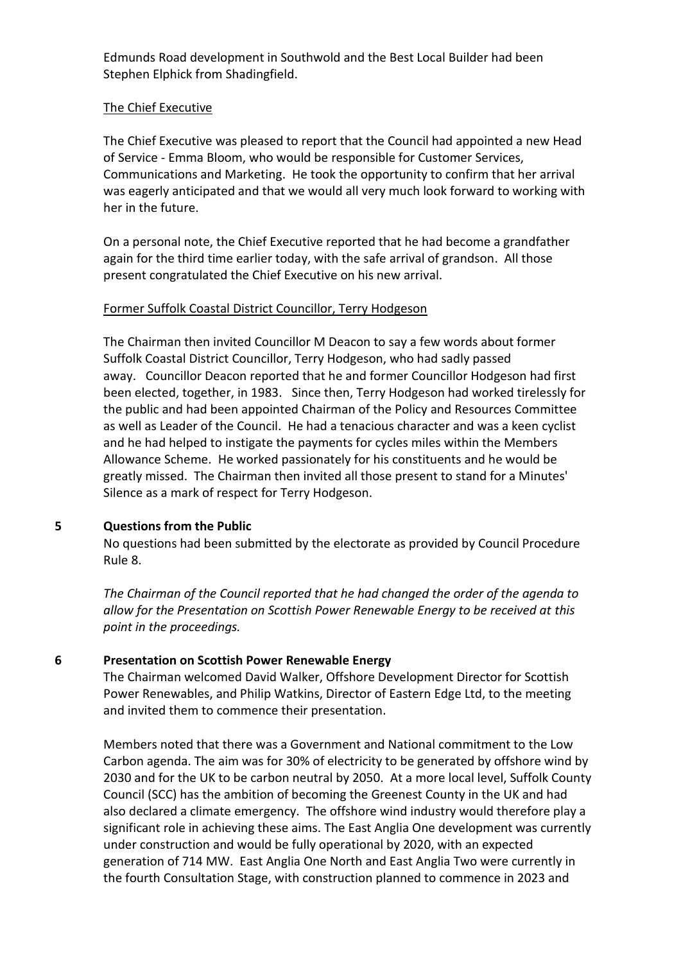Edmunds Road development in Southwold and the Best Local Builder had been Stephen Elphick from Shadingfield.

#### The Chief Executive

The Chief Executive was pleased to report that the Council had appointed a new Head of Service - Emma Bloom, who would be responsible for Customer Services, Communications and Marketing. He took the opportunity to confirm that her arrival was eagerly anticipated and that we would all very much look forward to working with her in the future.

On a personal note, the Chief Executive reported that he had become a grandfather again for the third time earlier today, with the safe arrival of grandson. All those present congratulated the Chief Executive on his new arrival.

#### Former Suffolk Coastal District Councillor, Terry Hodgeson

The Chairman then invited Councillor M Deacon to say a few words about former Suffolk Coastal District Councillor, Terry Hodgeson, who had sadly passed away. Councillor Deacon reported that he and former Councillor Hodgeson had first been elected, together, in 1983. Since then, Terry Hodgeson had worked tirelessly for the public and had been appointed Chairman of the Policy and Resources Committee as well as Leader of the Council. He had a tenacious character and was a keen cyclist and he had helped to instigate the payments for cycles miles within the Members Allowance Scheme. He worked passionately for his constituents and he would be greatly missed. The Chairman then invited all those present to stand for a Minutes' Silence as a mark of respect for Terry Hodgeson.

#### **5 Questions from the Public**

No questions had been submitted by the electorate as provided by Council Procedure Rule 8.

*The Chairman of the Council reported that he had changed the order of the agenda to allow for the Presentation on Scottish Power Renewable Energy to be received at this point in the proceedings.*

#### **6 Presentation on Scottish Power Renewable Energy**

The Chairman welcomed David Walker, Offshore Development Director for Scottish Power Renewables, and Philip Watkins, Director of Eastern Edge Ltd, to the meeting and invited them to commence their presentation.

Members noted that there was a Government and National commitment to the Low Carbon agenda. The aim was for 30% of electricity to be generated by offshore wind by 2030 and for the UK to be carbon neutral by 2050. At a more local level, Suffolk County Council (SCC) has the ambition of becoming the Greenest County in the UK and had also declared a climate emergency. The offshore wind industry would therefore play a significant role in achieving these aims. The East Anglia One development was currently under construction and would be fully operational by 2020, with an expected generation of 714 MW. East Anglia One North and East Anglia Two were currently in the fourth Consultation Stage, with construction planned to commence in 2023 and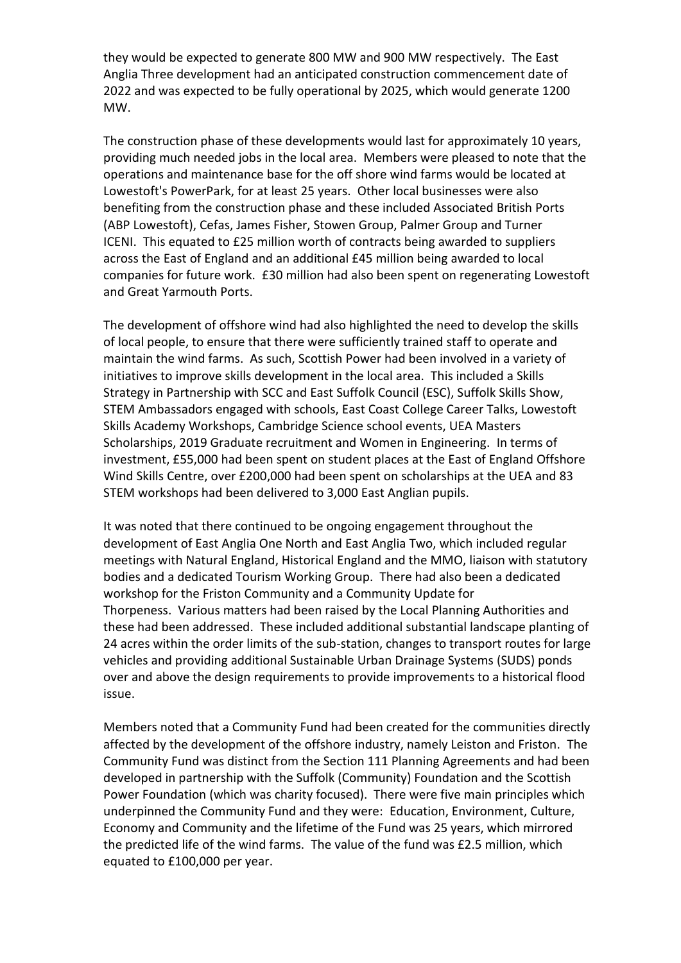they would be expected to generate 800 MW and 900 MW respectively. The East Anglia Three development had an anticipated construction commencement date of 2022 and was expected to be fully operational by 2025, which would generate 1200 MW.

The construction phase of these developments would last for approximately 10 years, providing much needed jobs in the local area. Members were pleased to note that the operations and maintenance base for the off shore wind farms would be located at Lowestoft's PowerPark, for at least 25 years. Other local businesses were also benefiting from the construction phase and these included Associated British Ports (ABP Lowestoft), Cefas, James Fisher, Stowen Group, Palmer Group and Turner ICENI. This equated to £25 million worth of contracts being awarded to suppliers across the East of England and an additional £45 million being awarded to local companies for future work. £30 million had also been spent on regenerating Lowestoft and Great Yarmouth Ports.

The development of offshore wind had also highlighted the need to develop the skills of local people, to ensure that there were sufficiently trained staff to operate and maintain the wind farms. As such, Scottish Power had been involved in a variety of initiatives to improve skills development in the local area. This included a Skills Strategy in Partnership with SCC and East Suffolk Council (ESC), Suffolk Skills Show, STEM Ambassadors engaged with schools, East Coast College Career Talks, Lowestoft Skills Academy Workshops, Cambridge Science school events, UEA Masters Scholarships, 2019 Graduate recruitment and Women in Engineering. In terms of investment, £55,000 had been spent on student places at the East of England Offshore Wind Skills Centre, over £200,000 had been spent on scholarships at the UEA and 83 STEM workshops had been delivered to 3,000 East Anglian pupils.

It was noted that there continued to be ongoing engagement throughout the development of East Anglia One North and East Anglia Two, which included regular meetings with Natural England, Historical England and the MMO, liaison with statutory bodies and a dedicated Tourism Working Group. There had also been a dedicated workshop for the Friston Community and a Community Update for Thorpeness. Various matters had been raised by the Local Planning Authorities and these had been addressed. These included additional substantial landscape planting of 24 acres within the order limits of the sub-station, changes to transport routes for large vehicles and providing additional Sustainable Urban Drainage Systems (SUDS) ponds over and above the design requirements to provide improvements to a historical flood issue.

Members noted that a Community Fund had been created for the communities directly affected by the development of the offshore industry, namely Leiston and Friston. The Community Fund was distinct from the Section 111 Planning Agreements and had been developed in partnership with the Suffolk (Community) Foundation and the Scottish Power Foundation (which was charity focused). There were five main principles which underpinned the Community Fund and they were: Education, Environment, Culture, Economy and Community and the lifetime of the Fund was 25 years, which mirrored the predicted life of the wind farms. The value of the fund was £2.5 million, which equated to £100,000 per year.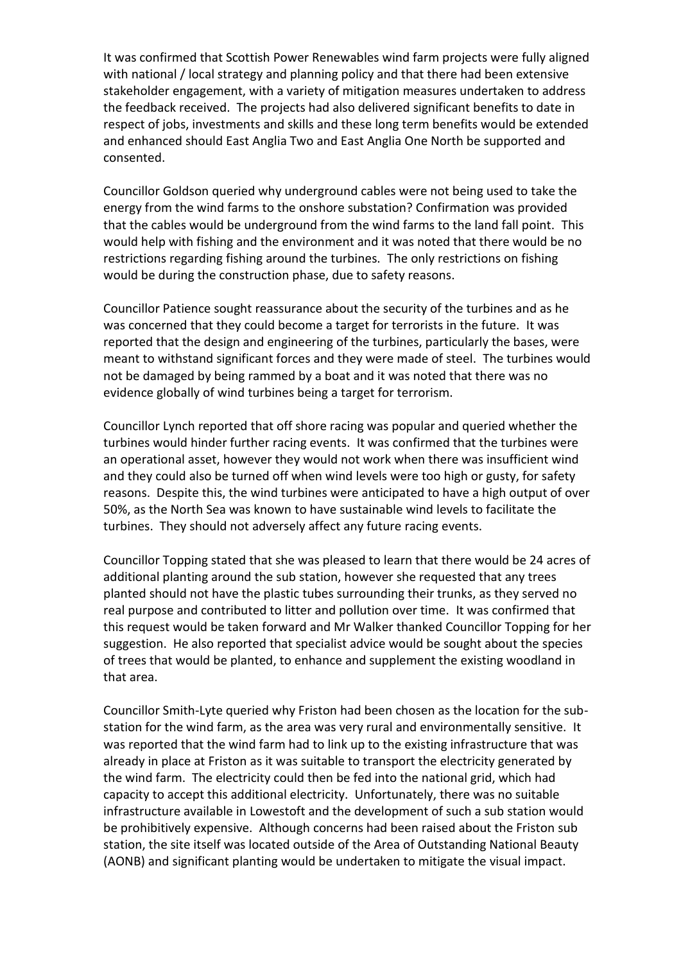It was confirmed that Scottish Power Renewables wind farm projects were fully aligned with national / local strategy and planning policy and that there had been extensive stakeholder engagement, with a variety of mitigation measures undertaken to address the feedback received. The projects had also delivered significant benefits to date in respect of jobs, investments and skills and these long term benefits would be extended and enhanced should East Anglia Two and East Anglia One North be supported and consented.

Councillor Goldson queried why underground cables were not being used to take the energy from the wind farms to the onshore substation? Confirmation was provided that the cables would be underground from the wind farms to the land fall point. This would help with fishing and the environment and it was noted that there would be no restrictions regarding fishing around the turbines. The only restrictions on fishing would be during the construction phase, due to safety reasons.

Councillor Patience sought reassurance about the security of the turbines and as he was concerned that they could become a target for terrorists in the future. It was reported that the design and engineering of the turbines, particularly the bases, were meant to withstand significant forces and they were made of steel. The turbines would not be damaged by being rammed by a boat and it was noted that there was no evidence globally of wind turbines being a target for terrorism.

Councillor Lynch reported that off shore racing was popular and queried whether the turbines would hinder further racing events. It was confirmed that the turbines were an operational asset, however they would not work when there was insufficient wind and they could also be turned off when wind levels were too high or gusty, for safety reasons. Despite this, the wind turbines were anticipated to have a high output of over 50%, as the North Sea was known to have sustainable wind levels to facilitate the turbines. They should not adversely affect any future racing events.

Councillor Topping stated that she was pleased to learn that there would be 24 acres of additional planting around the sub station, however she requested that any trees planted should not have the plastic tubes surrounding their trunks, as they served no real purpose and contributed to litter and pollution over time. It was confirmed that this request would be taken forward and Mr Walker thanked Councillor Topping for her suggestion. He also reported that specialist advice would be sought about the species of trees that would be planted, to enhance and supplement the existing woodland in that area.

Councillor Smith-Lyte queried why Friston had been chosen as the location for the substation for the wind farm, as the area was very rural and environmentally sensitive. It was reported that the wind farm had to link up to the existing infrastructure that was already in place at Friston as it was suitable to transport the electricity generated by the wind farm. The electricity could then be fed into the national grid, which had capacity to accept this additional electricity. Unfortunately, there was no suitable infrastructure available in Lowestoft and the development of such a sub station would be prohibitively expensive. Although concerns had been raised about the Friston sub station, the site itself was located outside of the Area of Outstanding National Beauty (AONB) and significant planting would be undertaken to mitigate the visual impact.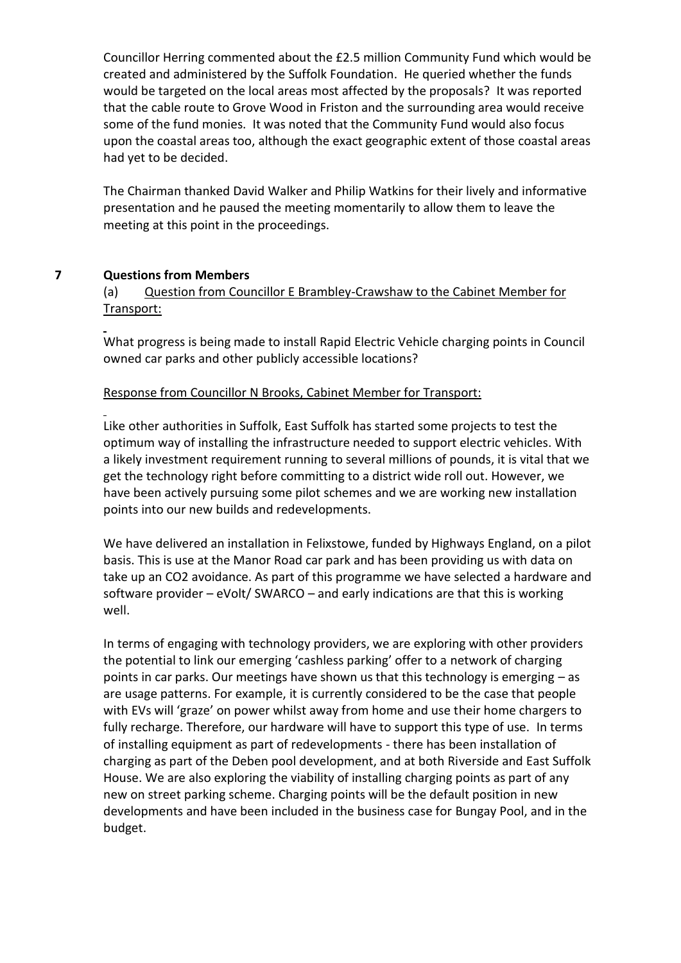Councillor Herring commented about the £2.5 million Community Fund which would be created and administered by the Suffolk Foundation. He queried whether the funds would be targeted on the local areas most affected by the proposals? It was reported that the cable route to Grove Wood in Friston and the surrounding area would receive some of the fund monies. It was noted that the Community Fund would also focus upon the coastal areas too, although the exact geographic extent of those coastal areas had yet to be decided.

The Chairman thanked David Walker and Philip Watkins for their lively and informative presentation and he paused the meeting momentarily to allow them to leave the meeting at this point in the proceedings.

## **7 Questions from Members**

l

# (a) Question from Councillor E Brambley-Crawshaw to the Cabinet Member for Transport:

 $\overline{a}$ What progress is being made to install Rapid Electric Vehicle charging points in Council owned car parks and other publicly accessible locations?

### Response from Councillor N Brooks, Cabinet Member for Transport:

Like other authorities in Suffolk, East Suffolk has started some projects to test the optimum way of installing the infrastructure needed to support electric vehicles. With a likely investment requirement running to several millions of pounds, it is vital that we get the technology right before committing to a district wide roll out. However, we have been actively pursuing some pilot schemes and we are working new installation points into our new builds and redevelopments.

We have delivered an installation in Felixstowe, funded by Highways England, on a pilot basis. This is use at the Manor Road car park and has been providing us with data on take up an CO2 avoidance. As part of this programme we have selected a hardware and software provider – eVolt/ SWARCO – and early indications are that this is working well.

In terms of engaging with technology providers, we are exploring with other providers the potential to link our emerging 'cashless parking' offer to a network of charging points in car parks. Our meetings have shown us that this technology is emerging – as are usage patterns. For example, it is currently considered to be the case that people with EVs will 'graze' on power whilst away from home and use their home chargers to fully recharge. Therefore, our hardware will have to support this type of use. In terms of installing equipment as part of redevelopments - there has been installation of charging as part of the Deben pool development, and at both Riverside and East Suffolk House. We are also exploring the viability of installing charging points as part of any new on street parking scheme. Charging points will be the default position in new developments and have been included in the business case for Bungay Pool, and in the budget.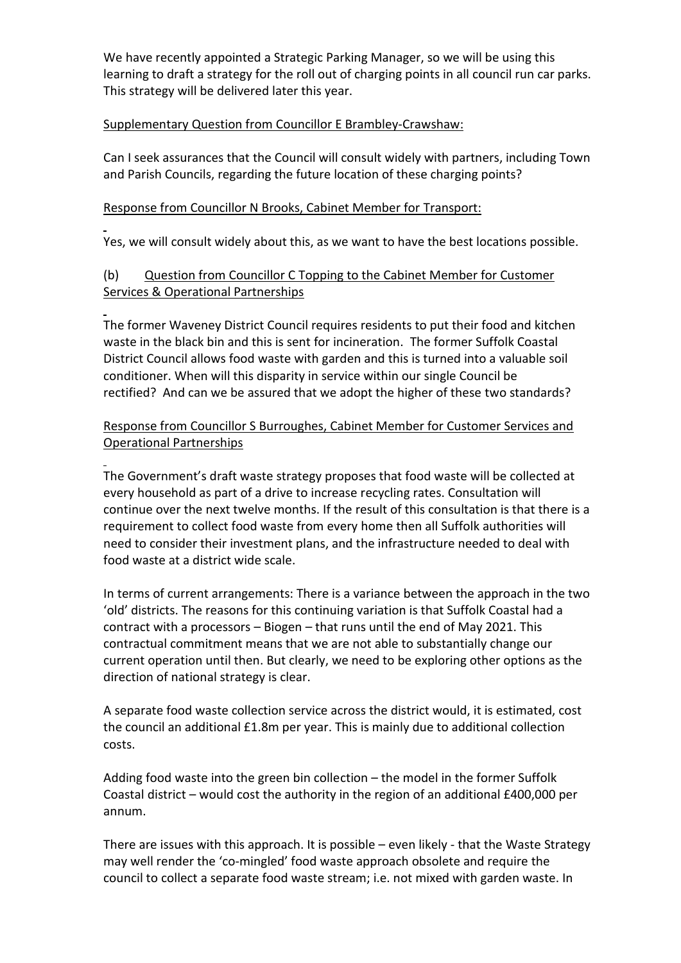We have recently appointed a Strategic Parking Manager, so we will be using this learning to draft a strategy for the roll out of charging points in all council run car parks. This strategy will be delivered later this year.

## Supplementary Question from Councillor E Brambley-Crawshaw:

Can I seek assurances that the Council will consult widely with partners, including Town and Parish Councils, regarding the future location of these charging points?

### Response from Councillor N Brooks, Cabinet Member for Transport:

l

 $\overline{a}$ 

Yes, we will consult widely about this, as we want to have the best locations possible.

# (b) Question from Councillor C Topping to the Cabinet Member for Customer Services & Operational Partnerships

The former Waveney District Council requires residents to put their food and kitchen waste in the black bin and this is sent for incineration. The former Suffolk Coastal District Council allows food waste with garden and this is turned into a valuable soil conditioner. When will this disparity in service within our single Council be rectified? And can we be assured that we adopt the higher of these two standards?

## Response from Councillor S Burroughes, Cabinet Member for Customer Services and Operational Partnerships

l The Government's draft waste strategy proposes that food waste will be collected at every household as part of a drive to increase recycling rates. Consultation will continue over the next twelve months. If the result of this consultation is that there is a requirement to collect food waste from every home then all Suffolk authorities will need to consider their investment plans, and the infrastructure needed to deal with food waste at a district wide scale.

In terms of current arrangements: There is a variance between the approach in the two 'old' districts. The reasons for this continuing variation is that Suffolk Coastal had a contract with a processors – Biogen – that runs until the end of May 2021. This contractual commitment means that we are not able to substantially change our current operation until then. But clearly, we need to be exploring other options as the direction of national strategy is clear.

A separate food waste collection service across the district would, it is estimated, cost the council an additional £1.8m per year. This is mainly due to additional collection costs.

Adding food waste into the green bin collection – the model in the former Suffolk Coastal district – would cost the authority in the region of an additional £400,000 per annum.

There are issues with this approach. It is possible – even likely - that the Waste Strategy may well render the 'co-mingled' food waste approach obsolete and require the council to collect a separate food waste stream; i.e. not mixed with garden waste. In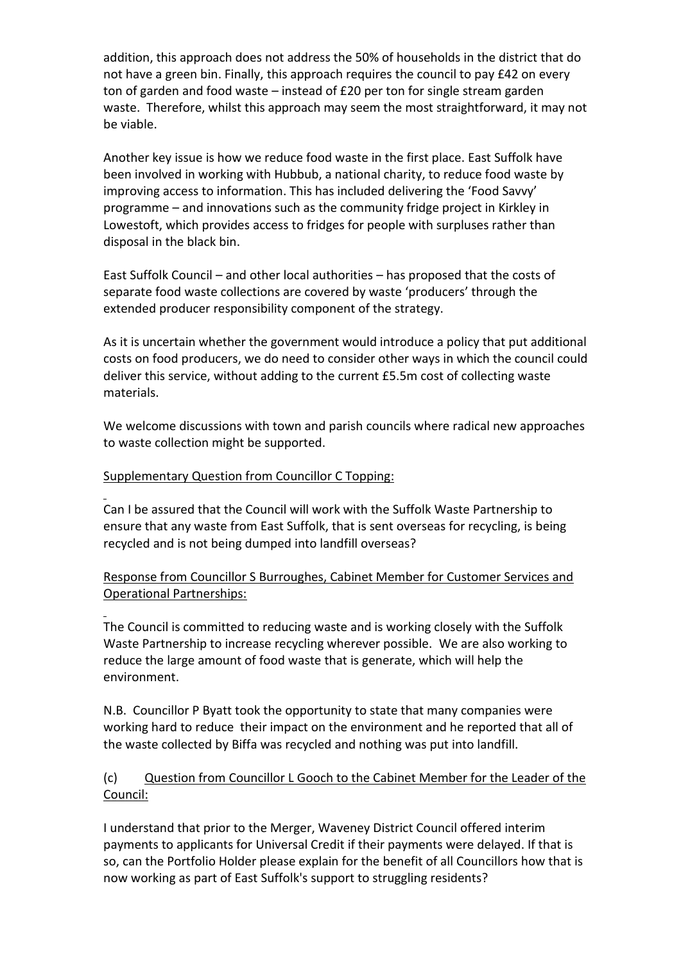addition, this approach does not address the 50% of households in the district that do not have a green bin. Finally, this approach requires the council to pay £42 on every ton of garden and food waste – instead of £20 per ton for single stream garden waste. Therefore, whilst this approach may seem the most straightforward, it may not be viable.

Another key issue is how we reduce food waste in the first place. East Suffolk have been involved in working with Hubbub, a national charity, to reduce food waste by improving access to information. This has included delivering the 'Food Savvy' programme – and innovations such as the community fridge project in Kirkley in Lowestoft, which provides access to fridges for people with surpluses rather than disposal in the black bin.

East Suffolk Council – and other local authorities – has proposed that the costs of separate food waste collections are covered by waste 'producers' through the extended producer responsibility component of the strategy.

As it is uncertain whether the government would introduce a policy that put additional costs on food producers, we do need to consider other ways in which the council could deliver this service, without adding to the current £5.5m cost of collecting waste materials.

We welcome discussions with town and parish councils where radical new approaches to waste collection might be supported.

## Supplementary Question from Councillor C Topping:

l

l Can I be assured that the Council will work with the Suffolk Waste Partnership to ensure that any waste from East Suffolk, that is sent overseas for recycling, is being recycled and is not being dumped into landfill overseas?

# Response from Councillor S Burroughes, Cabinet Member for Customer Services and Operational Partnerships:

The Council is committed to reducing waste and is working closely with the Suffolk Waste Partnership to increase recycling wherever possible. We are also working to reduce the large amount of food waste that is generate, which will help the environment.

N.B. Councillor P Byatt took the opportunity to state that many companies were working hard to reduce their impact on the environment and he reported that all of the waste collected by Biffa was recycled and nothing was put into landfill.

# (c) Question from Councillor L Gooch to the Cabinet Member for the Leader of the Council:

I understand that prior to the Merger, Waveney District Council offered interim payments to applicants for Universal Credit if their payments were delayed. If that is so, can the Portfolio Holder please explain for the benefit of all Councillors how that is now working as part of East Suffolk's support to struggling residents?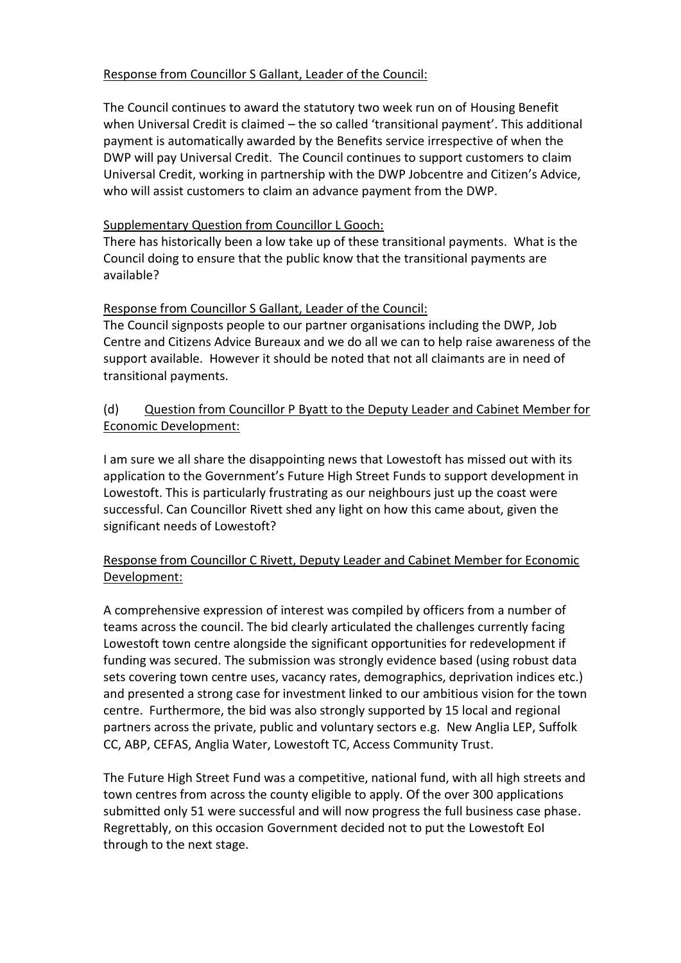# Response from Councillor S Gallant, Leader of the Council:

The Council continues to award the statutory two week run on of Housing Benefit when Universal Credit is claimed – the so called 'transitional payment'. This additional payment is automatically awarded by the Benefits service irrespective of when the DWP will pay Universal Credit. The Council continues to support customers to claim Universal Credit, working in partnership with the DWP Jobcentre and Citizen's Advice, who will assist customers to claim an advance payment from the DWP.

## Supplementary Question from Councillor L Gooch:

There has historically been a low take up of these transitional payments. What is the Council doing to ensure that the public know that the transitional payments are available?

## Response from Councillor S Gallant, Leader of the Council:

The Council signposts people to our partner organisations including the DWP, Job Centre and Citizens Advice Bureaux and we do all we can to help raise awareness of the support available. However it should be noted that not all claimants are in need of transitional payments.

# (d) Question from Councillor P Byatt to the Deputy Leader and Cabinet Member for Economic Development:

I am sure we all share the disappointing news that Lowestoft has missed out with its application to the Government's Future High Street Funds to support development in Lowestoft. This is particularly frustrating as our neighbours just up the coast were successful. Can Councillor Rivett shed any light on how this came about, given the significant needs of Lowestoft?

# Response from Councillor C Rivett, Deputy Leader and Cabinet Member for Economic Development:

A comprehensive expression of interest was compiled by officers from a number of teams across the council. The bid clearly articulated the challenges currently facing Lowestoft town centre alongside the significant opportunities for redevelopment if funding was secured. The submission was strongly evidence based (using robust data sets covering town centre uses, vacancy rates, demographics, deprivation indices etc.) and presented a strong case for investment linked to our ambitious vision for the town centre. Furthermore, the bid was also strongly supported by 15 local and regional partners across the private, public and voluntary sectors e.g. New Anglia LEP, Suffolk CC, ABP, CEFAS, Anglia Water, Lowestoft TC, Access Community Trust.

The Future High Street Fund was a competitive, national fund, with all high streets and town centres from across the county eligible to apply. Of the over 300 applications submitted only 51 were successful and will now progress the full business case phase. Regrettably, on this occasion Government decided not to put the Lowestoft EoI through to the next stage.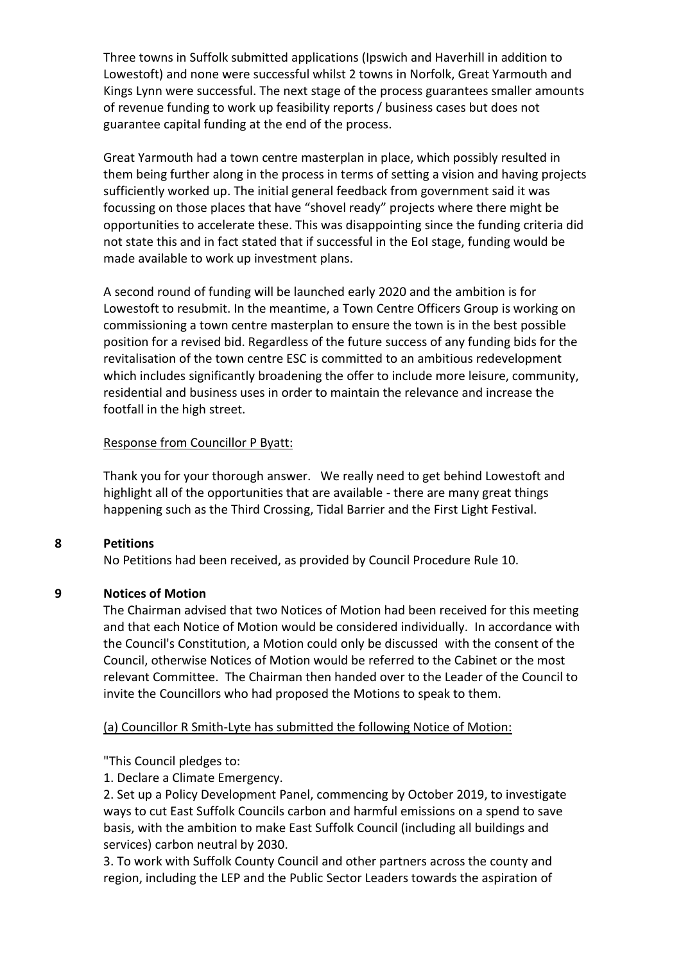Three towns in Suffolk submitted applications (Ipswich and Haverhill in addition to Lowestoft) and none were successful whilst 2 towns in Norfolk, Great Yarmouth and Kings Lynn were successful. The next stage of the process guarantees smaller amounts of revenue funding to work up feasibility reports / business cases but does not guarantee capital funding at the end of the process.

Great Yarmouth had a town centre masterplan in place, which possibly resulted in them being further along in the process in terms of setting a vision and having projects sufficiently worked up. The initial general feedback from government said it was focussing on those places that have "shovel ready" projects where there might be opportunities to accelerate these. This was disappointing since the funding criteria did not state this and in fact stated that if successful in the EoI stage, funding would be made available to work up investment plans.

A second round of funding will be launched early 2020 and the ambition is for Lowestoft to resubmit. In the meantime, a Town Centre Officers Group is working on commissioning a town centre masterplan to ensure the town is in the best possible position for a revised bid. Regardless of the future success of any funding bids for the revitalisation of the town centre ESC is committed to an ambitious redevelopment which includes significantly broadening the offer to include more leisure, community, residential and business uses in order to maintain the relevance and increase the footfall in the high street.

### Response from Councillor P Byatt:

Thank you for your thorough answer. We really need to get behind Lowestoft and highlight all of the opportunities that are available - there are many great things happening such as the Third Crossing, Tidal Barrier and the First Light Festival.

## **8 Petitions**

No Petitions had been received, as provided by Council Procedure Rule 10.

#### **9 Notices of Motion**

The Chairman advised that two Notices of Motion had been received for this meeting and that each Notice of Motion would be considered individually. In accordance with the Council's Constitution, a Motion could only be discussed with the consent of the Council, otherwise Notices of Motion would be referred to the Cabinet or the most relevant Committee. The Chairman then handed over to the Leader of the Council to invite the Councillors who had proposed the Motions to speak to them.

## (a) Councillor R Smith-Lyte has submitted the following Notice of Motion:

"This Council pledges to:

1. Declare a Climate Emergency.

2. Set up a Policy Development Panel, commencing by October 2019, to investigate ways to cut East Suffolk Councils carbon and harmful emissions on a spend to save basis, with the ambition to make East Suffolk Council (including all buildings and services) carbon neutral by 2030.

3. To work with Suffolk County Council and other partners across the county and region, including the LEP and the Public Sector Leaders towards the aspiration of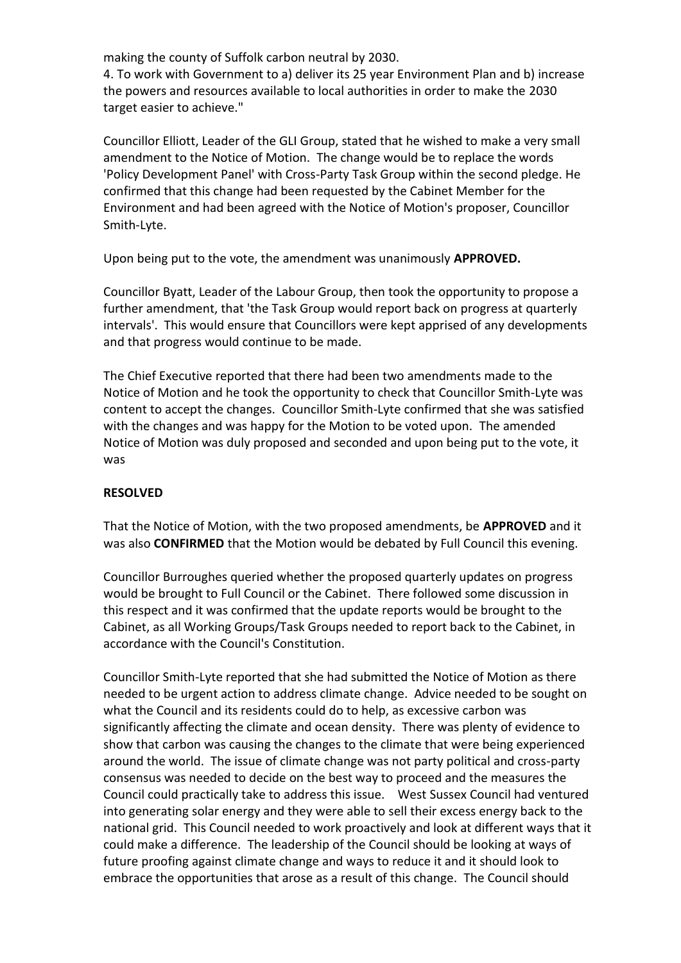making the county of Suffolk carbon neutral by 2030.

4. To work with Government to a) deliver its 25 year Environment Plan and b) increase the powers and resources available to local authorities in order to make the 2030 target easier to achieve."

Councillor Elliott, Leader of the GLI Group, stated that he wished to make a very small amendment to the Notice of Motion. The change would be to replace the words 'Policy Development Panel' with Cross-Party Task Group within the second pledge. He confirmed that this change had been requested by the Cabinet Member for the Environment and had been agreed with the Notice of Motion's proposer, Councillor Smith-Lyte.

Upon being put to the vote, the amendment was unanimously **APPROVED.**

Councillor Byatt, Leader of the Labour Group, then took the opportunity to propose a further amendment, that 'the Task Group would report back on progress at quarterly intervals'. This would ensure that Councillors were kept apprised of any developments and that progress would continue to be made.

The Chief Executive reported that there had been two amendments made to the Notice of Motion and he took the opportunity to check that Councillor Smith-Lyte was content to accept the changes. Councillor Smith-Lyte confirmed that she was satisfied with the changes and was happy for the Motion to be voted upon. The amended Notice of Motion was duly proposed and seconded and upon being put to the vote, it was

## **RESOLVED**

That the Notice of Motion, with the two proposed amendments, be **APPROVED** and it was also **CONFIRMED** that the Motion would be debated by Full Council this evening.

Councillor Burroughes queried whether the proposed quarterly updates on progress would be brought to Full Council or the Cabinet. There followed some discussion in this respect and it was confirmed that the update reports would be brought to the Cabinet, as all Working Groups/Task Groups needed to report back to the Cabinet, in accordance with the Council's Constitution.

Councillor Smith-Lyte reported that she had submitted the Notice of Motion as there needed to be urgent action to address climate change. Advice needed to be sought on what the Council and its residents could do to help, as excessive carbon was significantly affecting the climate and ocean density. There was plenty of evidence to show that carbon was causing the changes to the climate that were being experienced around the world. The issue of climate change was not party political and cross-party consensus was needed to decide on the best way to proceed and the measures the Council could practically take to address this issue. West Sussex Council had ventured into generating solar energy and they were able to sell their excess energy back to the national grid. This Council needed to work proactively and look at different ways that it could make a difference. The leadership of the Council should be looking at ways of future proofing against climate change and ways to reduce it and it should look to embrace the opportunities that arose as a result of this change. The Council should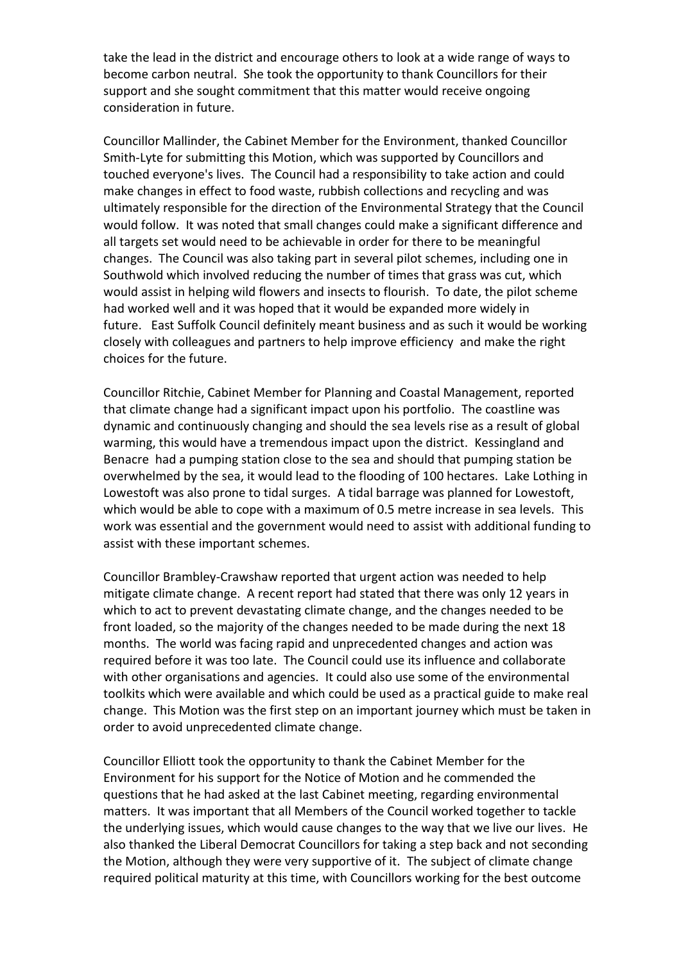take the lead in the district and encourage others to look at a wide range of ways to become carbon neutral. She took the opportunity to thank Councillors for their support and she sought commitment that this matter would receive ongoing consideration in future.

Councillor Mallinder, the Cabinet Member for the Environment, thanked Councillor Smith-Lyte for submitting this Motion, which was supported by Councillors and touched everyone's lives. The Council had a responsibility to take action and could make changes in effect to food waste, rubbish collections and recycling and was ultimately responsible for the direction of the Environmental Strategy that the Council would follow. It was noted that small changes could make a significant difference and all targets set would need to be achievable in order for there to be meaningful changes. The Council was also taking part in several pilot schemes, including one in Southwold which involved reducing the number of times that grass was cut, which would assist in helping wild flowers and insects to flourish. To date, the pilot scheme had worked well and it was hoped that it would be expanded more widely in future. East Suffolk Council definitely meant business and as such it would be working closely with colleagues and partners to help improve efficiency and make the right choices for the future.

Councillor Ritchie, Cabinet Member for Planning and Coastal Management, reported that climate change had a significant impact upon his portfolio. The coastline was dynamic and continuously changing and should the sea levels rise as a result of global warming, this would have a tremendous impact upon the district. Kessingland and Benacre had a pumping station close to the sea and should that pumping station be overwhelmed by the sea, it would lead to the flooding of 100 hectares. Lake Lothing in Lowestoft was also prone to tidal surges. A tidal barrage was planned for Lowestoft, which would be able to cope with a maximum of 0.5 metre increase in sea levels. This work was essential and the government would need to assist with additional funding to assist with these important schemes.

Councillor Brambley-Crawshaw reported that urgent action was needed to help mitigate climate change. A recent report had stated that there was only 12 years in which to act to prevent devastating climate change, and the changes needed to be front loaded, so the majority of the changes needed to be made during the next 18 months. The world was facing rapid and unprecedented changes and action was required before it was too late. The Council could use its influence and collaborate with other organisations and agencies. It could also use some of the environmental toolkits which were available and which could be used as a practical guide to make real change. This Motion was the first step on an important journey which must be taken in order to avoid unprecedented climate change.

Councillor Elliott took the opportunity to thank the Cabinet Member for the Environment for his support for the Notice of Motion and he commended the questions that he had asked at the last Cabinet meeting, regarding environmental matters. It was important that all Members of the Council worked together to tackle the underlying issues, which would cause changes to the way that we live our lives. He also thanked the Liberal Democrat Councillors for taking a step back and not seconding the Motion, although they were very supportive of it. The subject of climate change required political maturity at this time, with Councillors working for the best outcome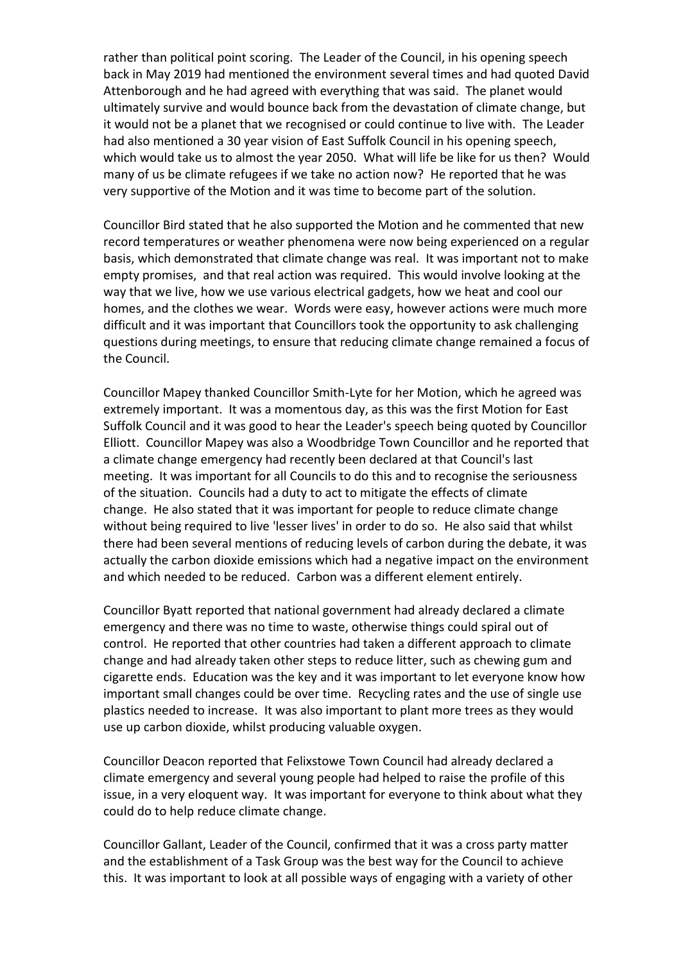rather than political point scoring. The Leader of the Council, in his opening speech back in May 2019 had mentioned the environment several times and had quoted David Attenborough and he had agreed with everything that was said. The planet would ultimately survive and would bounce back from the devastation of climate change, but it would not be a planet that we recognised or could continue to live with. The Leader had also mentioned a 30 year vision of East Suffolk Council in his opening speech, which would take us to almost the year 2050. What will life be like for us then? Would many of us be climate refugees if we take no action now? He reported that he was very supportive of the Motion and it was time to become part of the solution.

Councillor Bird stated that he also supported the Motion and he commented that new record temperatures or weather phenomena were now being experienced on a regular basis, which demonstrated that climate change was real. It was important not to make empty promises, and that real action was required. This would involve looking at the way that we live, how we use various electrical gadgets, how we heat and cool our homes, and the clothes we wear. Words were easy, however actions were much more difficult and it was important that Councillors took the opportunity to ask challenging questions during meetings, to ensure that reducing climate change remained a focus of the Council.

Councillor Mapey thanked Councillor Smith-Lyte for her Motion, which he agreed was extremely important. It was a momentous day, as this was the first Motion for East Suffolk Council and it was good to hear the Leader's speech being quoted by Councillor Elliott. Councillor Mapey was also a Woodbridge Town Councillor and he reported that a climate change emergency had recently been declared at that Council's last meeting. It was important for all Councils to do this and to recognise the seriousness of the situation. Councils had a duty to act to mitigate the effects of climate change. He also stated that it was important for people to reduce climate change without being required to live 'lesser lives' in order to do so. He also said that whilst there had been several mentions of reducing levels of carbon during the debate, it was actually the carbon dioxide emissions which had a negative impact on the environment and which needed to be reduced. Carbon was a different element entirely.

Councillor Byatt reported that national government had already declared a climate emergency and there was no time to waste, otherwise things could spiral out of control. He reported that other countries had taken a different approach to climate change and had already taken other steps to reduce litter, such as chewing gum and cigarette ends. Education was the key and it was important to let everyone know how important small changes could be over time. Recycling rates and the use of single use plastics needed to increase. It was also important to plant more trees as they would use up carbon dioxide, whilst producing valuable oxygen.

Councillor Deacon reported that Felixstowe Town Council had already declared a climate emergency and several young people had helped to raise the profile of this issue, in a very eloquent way. It was important for everyone to think about what they could do to help reduce climate change.

Councillor Gallant, Leader of the Council, confirmed that it was a cross party matter and the establishment of a Task Group was the best way for the Council to achieve this. It was important to look at all possible ways of engaging with a variety of other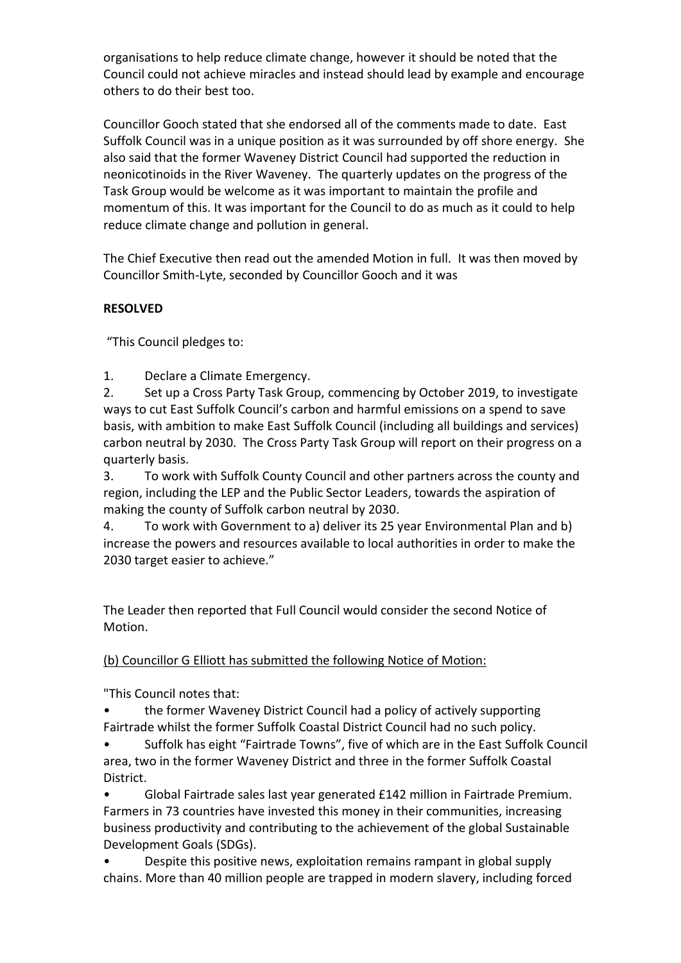organisations to help reduce climate change, however it should be noted that the Council could not achieve miracles and instead should lead by example and encourage others to do their best too.

Councillor Gooch stated that she endorsed all of the comments made to date. East Suffolk Council was in a unique position as it was surrounded by off shore energy. She also said that the former Waveney District Council had supported the reduction in neonicotinoids in the River Waveney. The quarterly updates on the progress of the Task Group would be welcome as it was important to maintain the profile and momentum of this. It was important for the Council to do as much as it could to help reduce climate change and pollution in general.

The Chief Executive then read out the amended Motion in full. It was then moved by Councillor Smith-Lyte, seconded by Councillor Gooch and it was

# **RESOLVED**

"This Council pledges to:

1. Declare a Climate Emergency.

2. Set up a Cross Party Task Group, commencing by October 2019, to investigate ways to cut East Suffolk Council's carbon and harmful emissions on a spend to save basis, with ambition to make East Suffolk Council (including all buildings and services) carbon neutral by 2030. The Cross Party Task Group will report on their progress on a quarterly basis.

3. To work with Suffolk County Council and other partners across the county and region, including the LEP and the Public Sector Leaders, towards the aspiration of making the county of Suffolk carbon neutral by 2030.

4. To work with Government to a) deliver its 25 year Environmental Plan and b) increase the powers and resources available to local authorities in order to make the 2030 target easier to achieve."

The Leader then reported that Full Council would consider the second Notice of Motion.

## (b) Councillor G Elliott has submitted the following Notice of Motion:

"This Council notes that:

• the former Waveney District Council had a policy of actively supporting Fairtrade whilst the former Suffolk Coastal District Council had no such policy.

• Suffolk has eight "Fairtrade Towns", five of which are in the East Suffolk Council area, two in the former Waveney District and three in the former Suffolk Coastal District.

• Global Fairtrade sales last year generated £142 million in Fairtrade Premium. Farmers in 73 countries have invested this money in their communities, increasing business productivity and contributing to the achievement of the global Sustainable Development Goals (SDGs).

• Despite this positive news, exploitation remains rampant in global supply chains. More than 40 million people are trapped in modern slavery, including forced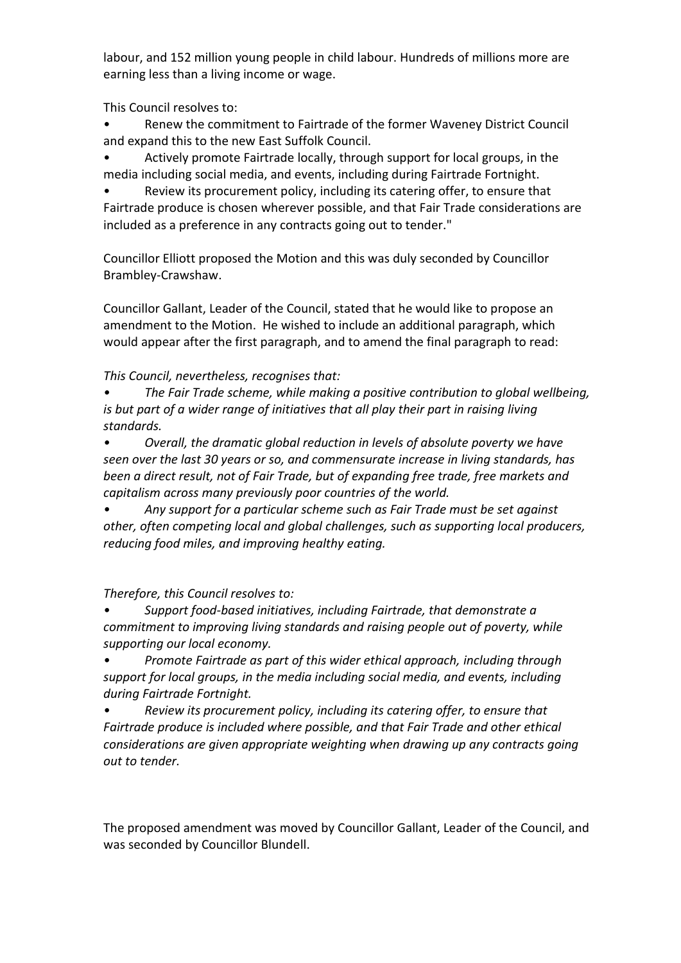labour, and 152 million young people in child labour. Hundreds of millions more are earning less than a living income or wage.

This Council resolves to:

• Renew the commitment to Fairtrade of the former Waveney District Council and expand this to the new East Suffolk Council.

• Actively promote Fairtrade locally, through support for local groups, in the media including social media, and events, including during Fairtrade Fortnight.

Review its procurement policy, including its catering offer, to ensure that Fairtrade produce is chosen wherever possible, and that Fair Trade considerations are included as a preference in any contracts going out to tender."

Councillor Elliott proposed the Motion and this was duly seconded by Councillor Brambley-Crawshaw.

Councillor Gallant, Leader of the Council, stated that he would like to propose an amendment to the Motion. He wished to include an additional paragraph, which would appear after the first paragraph, and to amend the final paragraph to read:

## *This Council, nevertheless, recognises that:*

*• The Fair Trade scheme, while making a positive contribution to global wellbeing, is but part of a wider range of initiatives that all play their part in raising living standards.*

*• Overall, the dramatic global reduction in levels of absolute poverty we have seen over the last 30 years or so, and commensurate increase in living standards, has been a direct result, not of Fair Trade, but of expanding free trade, free markets and capitalism across many previously poor countries of the world.*

*• Any support for a particular scheme such as Fair Trade must be set against other, often competing local and global challenges, such as supporting local producers, reducing food miles, and improving healthy eating.*

*Therefore, this Council resolves to:*

*• Support food-based initiatives, including Fairtrade, that demonstrate a commitment to improving living standards and raising people out of poverty, while supporting our local economy.*

*• Promote Fairtrade as part of this wider ethical approach, including through support for local groups, in the media including social media, and events, including during Fairtrade Fortnight.*

*• Review its procurement policy, including its catering offer, to ensure that Fairtrade produce is included where possible, and that Fair Trade and other ethical considerations are given appropriate weighting when drawing up any contracts going out to tender.* 

The proposed amendment was moved by Councillor Gallant, Leader of the Council, and was seconded by Councillor Blundell.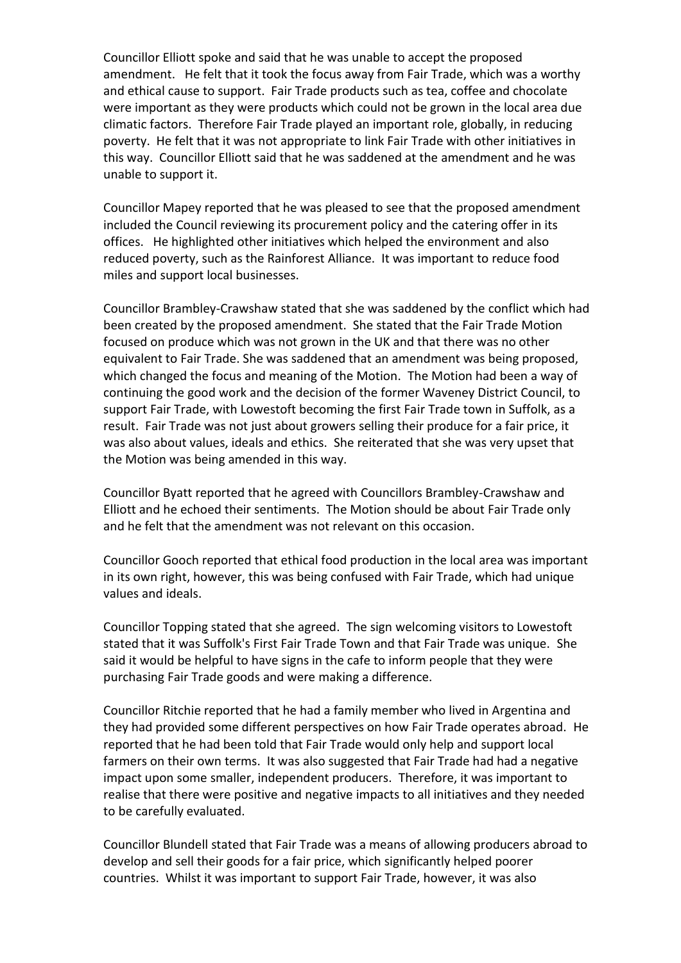Councillor Elliott spoke and said that he was unable to accept the proposed amendment. He felt that it took the focus away from Fair Trade, which was a worthy and ethical cause to support. Fair Trade products such as tea, coffee and chocolate were important as they were products which could not be grown in the local area due climatic factors. Therefore Fair Trade played an important role, globally, in reducing poverty. He felt that it was not appropriate to link Fair Trade with other initiatives in this way. Councillor Elliott said that he was saddened at the amendment and he was unable to support it.

Councillor Mapey reported that he was pleased to see that the proposed amendment included the Council reviewing its procurement policy and the catering offer in its offices. He highlighted other initiatives which helped the environment and also reduced poverty, such as the Rainforest Alliance. It was important to reduce food miles and support local businesses.

Councillor Brambley-Crawshaw stated that she was saddened by the conflict which had been created by the proposed amendment. She stated that the Fair Trade Motion focused on produce which was not grown in the UK and that there was no other equivalent to Fair Trade. She was saddened that an amendment was being proposed, which changed the focus and meaning of the Motion. The Motion had been a way of continuing the good work and the decision of the former Waveney District Council, to support Fair Trade, with Lowestoft becoming the first Fair Trade town in Suffolk, as a result. Fair Trade was not just about growers selling their produce for a fair price, it was also about values, ideals and ethics. She reiterated that she was very upset that the Motion was being amended in this way.

Councillor Byatt reported that he agreed with Councillors Brambley-Crawshaw and Elliott and he echoed their sentiments. The Motion should be about Fair Trade only and he felt that the amendment was not relevant on this occasion.

Councillor Gooch reported that ethical food production in the local area was important in its own right, however, this was being confused with Fair Trade, which had unique values and ideals.

Councillor Topping stated that she agreed. The sign welcoming visitors to Lowestoft stated that it was Suffolk's First Fair Trade Town and that Fair Trade was unique. She said it would be helpful to have signs in the cafe to inform people that they were purchasing Fair Trade goods and were making a difference.

Councillor Ritchie reported that he had a family member who lived in Argentina and they had provided some different perspectives on how Fair Trade operates abroad. He reported that he had been told that Fair Trade would only help and support local farmers on their own terms. It was also suggested that Fair Trade had had a negative impact upon some smaller, independent producers. Therefore, it was important to realise that there were positive and negative impacts to all initiatives and they needed to be carefully evaluated.

Councillor Blundell stated that Fair Trade was a means of allowing producers abroad to develop and sell their goods for a fair price, which significantly helped poorer countries. Whilst it was important to support Fair Trade, however, it was also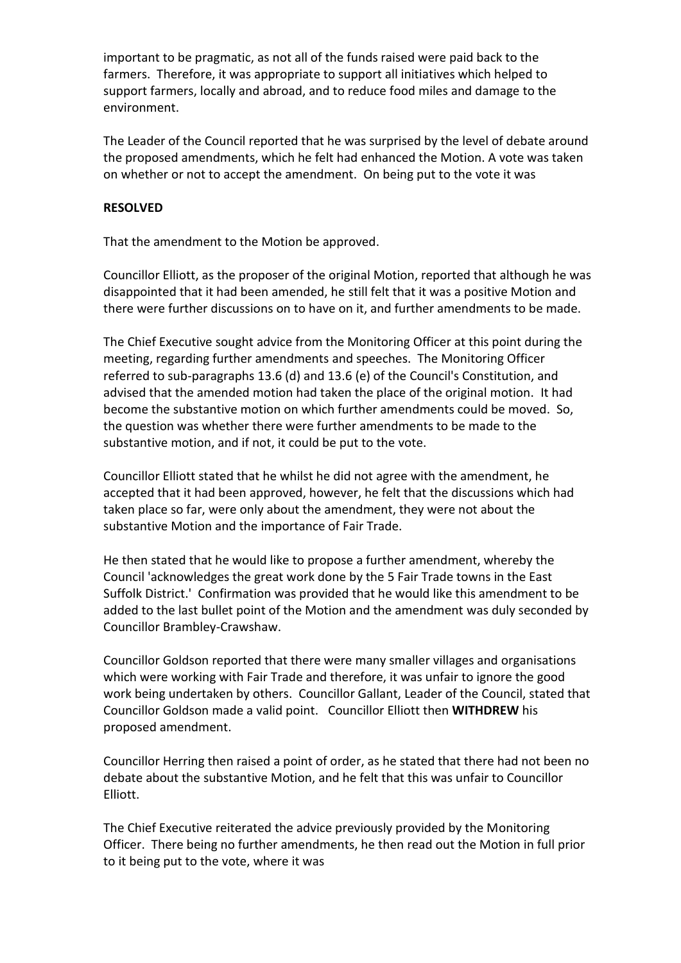important to be pragmatic, as not all of the funds raised were paid back to the farmers. Therefore, it was appropriate to support all initiatives which helped to support farmers, locally and abroad, and to reduce food miles and damage to the environment.

The Leader of the Council reported that he was surprised by the level of debate around the proposed amendments, which he felt had enhanced the Motion. A vote was taken on whether or not to accept the amendment. On being put to the vote it was

### **RESOLVED**

That the amendment to the Motion be approved.

Councillor Elliott, as the proposer of the original Motion, reported that although he was disappointed that it had been amended, he still felt that it was a positive Motion and there were further discussions on to have on it, and further amendments to be made.

The Chief Executive sought advice from the Monitoring Officer at this point during the meeting, regarding further amendments and speeches. The Monitoring Officer referred to sub-paragraphs 13.6 (d) and 13.6 (e) of the Council's Constitution, and advised that the amended motion had taken the place of the original motion. It had become the substantive motion on which further amendments could be moved. So, the question was whether there were further amendments to be made to the substantive motion, and if not, it could be put to the vote.

Councillor Elliott stated that he whilst he did not agree with the amendment, he accepted that it had been approved, however, he felt that the discussions which had taken place so far, were only about the amendment, they were not about the substantive Motion and the importance of Fair Trade.

He then stated that he would like to propose a further amendment, whereby the Council 'acknowledges the great work done by the 5 Fair Trade towns in the East Suffolk District.' Confirmation was provided that he would like this amendment to be added to the last bullet point of the Motion and the amendment was duly seconded by Councillor Brambley-Crawshaw.

Councillor Goldson reported that there were many smaller villages and organisations which were working with Fair Trade and therefore, it was unfair to ignore the good work being undertaken by others. Councillor Gallant, Leader of the Council, stated that Councillor Goldson made a valid point. Councillor Elliott then **WITHDREW** his proposed amendment.

Councillor Herring then raised a point of order, as he stated that there had not been no debate about the substantive Motion, and he felt that this was unfair to Councillor Elliott.

The Chief Executive reiterated the advice previously provided by the Monitoring Officer. There being no further amendments, he then read out the Motion in full prior to it being put to the vote, where it was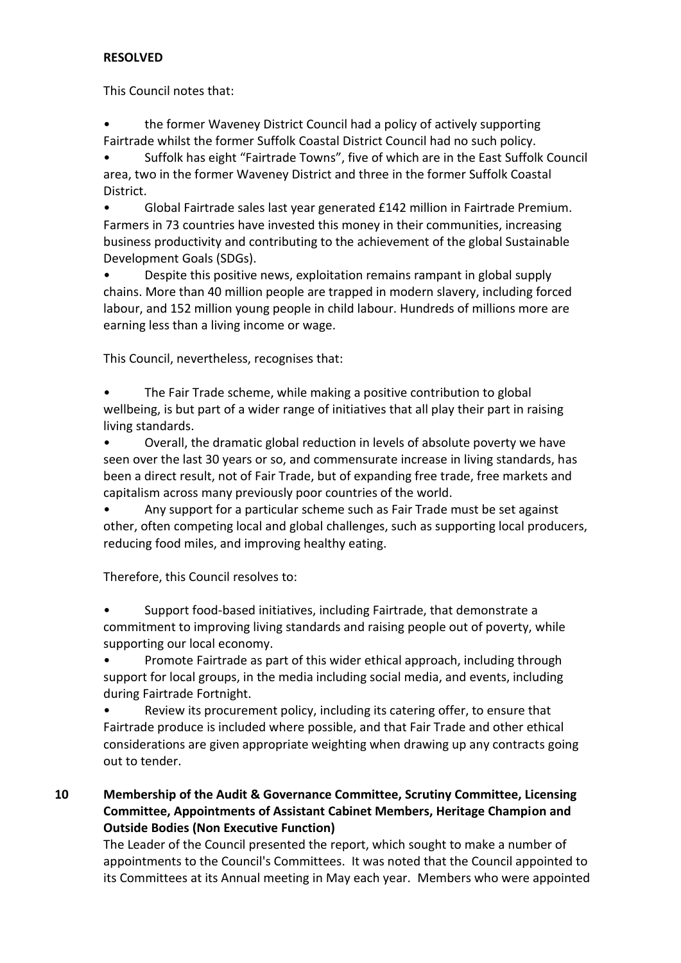## **RESOLVED**

This Council notes that:

• the former Waveney District Council had a policy of actively supporting Fairtrade whilst the former Suffolk Coastal District Council had no such policy.

• Suffolk has eight "Fairtrade Towns", five of which are in the East Suffolk Council area, two in the former Waveney District and three in the former Suffolk Coastal District.

• Global Fairtrade sales last year generated £142 million in Fairtrade Premium. Farmers in 73 countries have invested this money in their communities, increasing business productivity and contributing to the achievement of the global Sustainable Development Goals (SDGs).

• Despite this positive news, exploitation remains rampant in global supply chains. More than 40 million people are trapped in modern slavery, including forced labour, and 152 million young people in child labour. Hundreds of millions more are earning less than a living income or wage.

This Council, nevertheless, recognises that:

• The Fair Trade scheme, while making a positive contribution to global wellbeing, is but part of a wider range of initiatives that all play their part in raising living standards.

• Overall, the dramatic global reduction in levels of absolute poverty we have seen over the last 30 years or so, and commensurate increase in living standards, has been a direct result, not of Fair Trade, but of expanding free trade, free markets and capitalism across many previously poor countries of the world.

• Any support for a particular scheme such as Fair Trade must be set against other, often competing local and global challenges, such as supporting local producers, reducing food miles, and improving healthy eating.

Therefore, this Council resolves to:

• Support food-based initiatives, including Fairtrade, that demonstrate a commitment to improving living standards and raising people out of poverty, while supporting our local economy.

• Promote Fairtrade as part of this wider ethical approach, including through support for local groups, in the media including social media, and events, including during Fairtrade Fortnight.

Review its procurement policy, including its catering offer, to ensure that Fairtrade produce is included where possible, and that Fair Trade and other ethical considerations are given appropriate weighting when drawing up any contracts going out to tender.

# **10 Membership of the Audit & Governance Committee, Scrutiny Committee, Licensing Committee, Appointments of Assistant Cabinet Members, Heritage Champion and Outside Bodies (Non Executive Function)**

The Leader of the Council presented the report, which sought to make a number of appointments to the Council's Committees. It was noted that the Council appointed to its Committees at its Annual meeting in May each year. Members who were appointed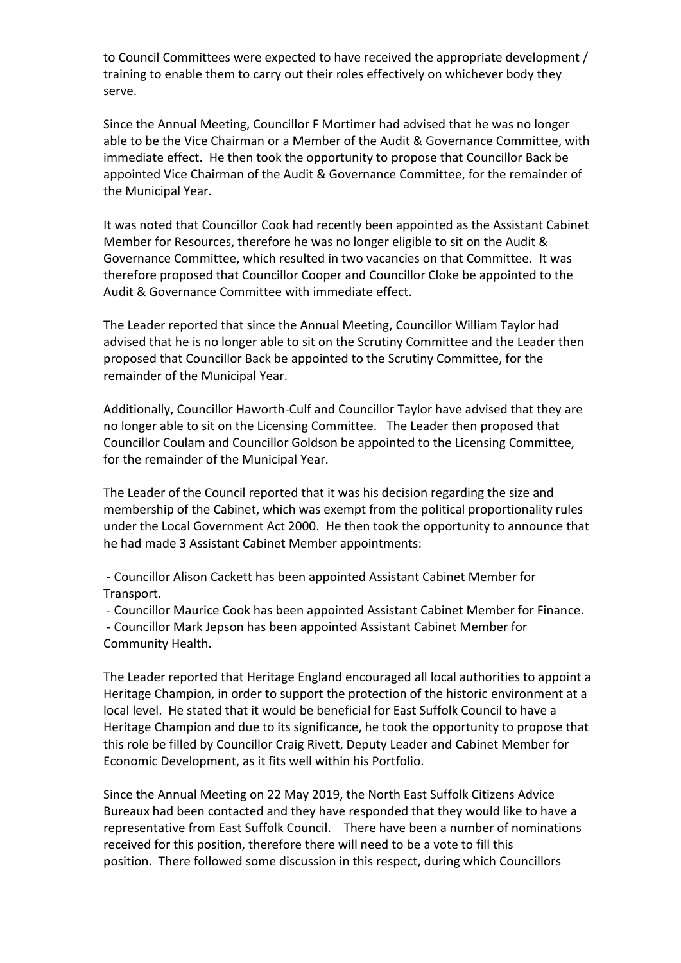to Council Committees were expected to have received the appropriate development / training to enable them to carry out their roles effectively on whichever body they serve.

Since the Annual Meeting, Councillor F Mortimer had advised that he was no longer able to be the Vice Chairman or a Member of the Audit & Governance Committee, with immediate effect. He then took the opportunity to propose that Councillor Back be appointed Vice Chairman of the Audit & Governance Committee, for the remainder of the Municipal Year.

It was noted that Councillor Cook had recently been appointed as the Assistant Cabinet Member for Resources, therefore he was no longer eligible to sit on the Audit & Governance Committee, which resulted in two vacancies on that Committee. It was therefore proposed that Councillor Cooper and Councillor Cloke be appointed to the Audit & Governance Committee with immediate effect.

The Leader reported that since the Annual Meeting, Councillor William Taylor had advised that he is no longer able to sit on the Scrutiny Committee and the Leader then proposed that Councillor Back be appointed to the Scrutiny Committee, for the remainder of the Municipal Year.

Additionally, Councillor Haworth-Culf and Councillor Taylor have advised that they are no longer able to sit on the Licensing Committee. The Leader then proposed that Councillor Coulam and Councillor Goldson be appointed to the Licensing Committee, for the remainder of the Municipal Year.

The Leader of the Council reported that it was his decision regarding the size and membership of the Cabinet, which was exempt from the political proportionality rules under the Local Government Act 2000. He then took the opportunity to announce that he had made 3 Assistant Cabinet Member appointments:

 - Councillor Alison Cackett has been appointed Assistant Cabinet Member for Transport.

- Councillor Maurice Cook has been appointed Assistant Cabinet Member for Finance.

 - Councillor Mark Jepson has been appointed Assistant Cabinet Member for Community Health.

The Leader reported that Heritage England encouraged all local authorities to appoint a Heritage Champion, in order to support the protection of the historic environment at a local level. He stated that it would be beneficial for East Suffolk Council to have a Heritage Champion and due to its significance, he took the opportunity to propose that this role be filled by Councillor Craig Rivett, Deputy Leader and Cabinet Member for Economic Development, as it fits well within his Portfolio.

Since the Annual Meeting on 22 May 2019, the North East Suffolk Citizens Advice Bureaux had been contacted and they have responded that they would like to have a representative from East Suffolk Council. There have been a number of nominations received for this position, therefore there will need to be a vote to fill this position. There followed some discussion in this respect, during which Councillors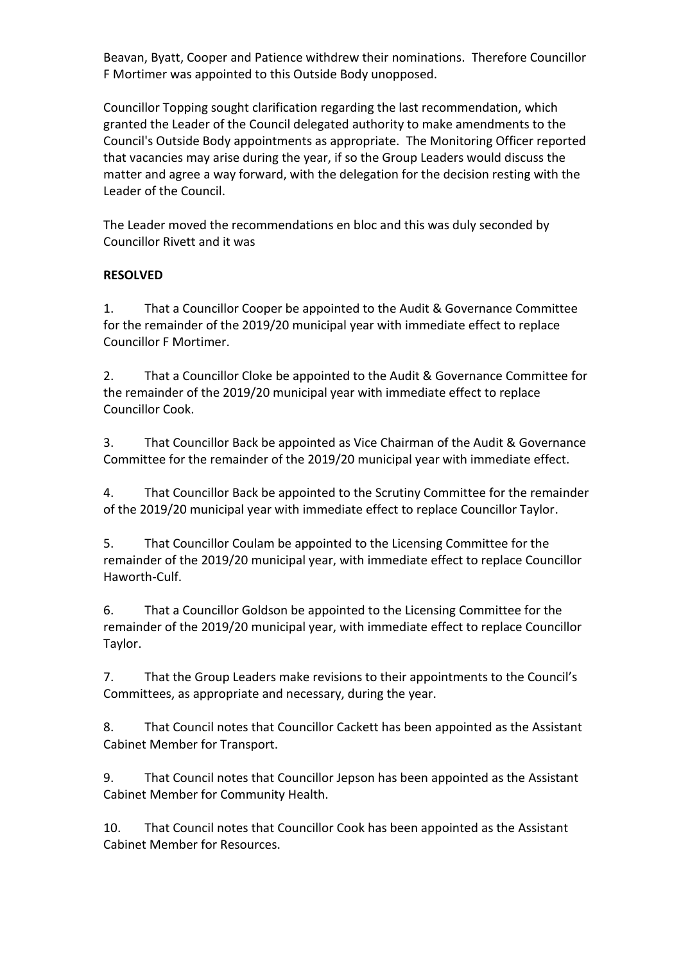Beavan, Byatt, Cooper and Patience withdrew their nominations. Therefore Councillor F Mortimer was appointed to this Outside Body unopposed.

Councillor Topping sought clarification regarding the last recommendation, which granted the Leader of the Council delegated authority to make amendments to the Council's Outside Body appointments as appropriate. The Monitoring Officer reported that vacancies may arise during the year, if so the Group Leaders would discuss the matter and agree a way forward, with the delegation for the decision resting with the Leader of the Council.

The Leader moved the recommendations en bloc and this was duly seconded by Councillor Rivett and it was

# **RESOLVED**

1. That a Councillor Cooper be appointed to the Audit & Governance Committee for the remainder of the 2019/20 municipal year with immediate effect to replace Councillor F Mortimer.

2. That a Councillor Cloke be appointed to the Audit & Governance Committee for the remainder of the 2019/20 municipal year with immediate effect to replace Councillor Cook.

3. That Councillor Back be appointed as Vice Chairman of the Audit & Governance Committee for the remainder of the 2019/20 municipal year with immediate effect.

4. That Councillor Back be appointed to the Scrutiny Committee for the remainder of the 2019/20 municipal year with immediate effect to replace Councillor Taylor.

5. That Councillor Coulam be appointed to the Licensing Committee for the remainder of the 2019/20 municipal year, with immediate effect to replace Councillor Haworth-Culf.

6. That a Councillor Goldson be appointed to the Licensing Committee for the remainder of the 2019/20 municipal year, with immediate effect to replace Councillor Taylor.

7. That the Group Leaders make revisions to their appointments to the Council's Committees, as appropriate and necessary, during the year.

8. That Council notes that Councillor Cackett has been appointed as the Assistant Cabinet Member for Transport.

9. That Council notes that Councillor Jepson has been appointed as the Assistant Cabinet Member for Community Health.

10. That Council notes that Councillor Cook has been appointed as the Assistant Cabinet Member for Resources.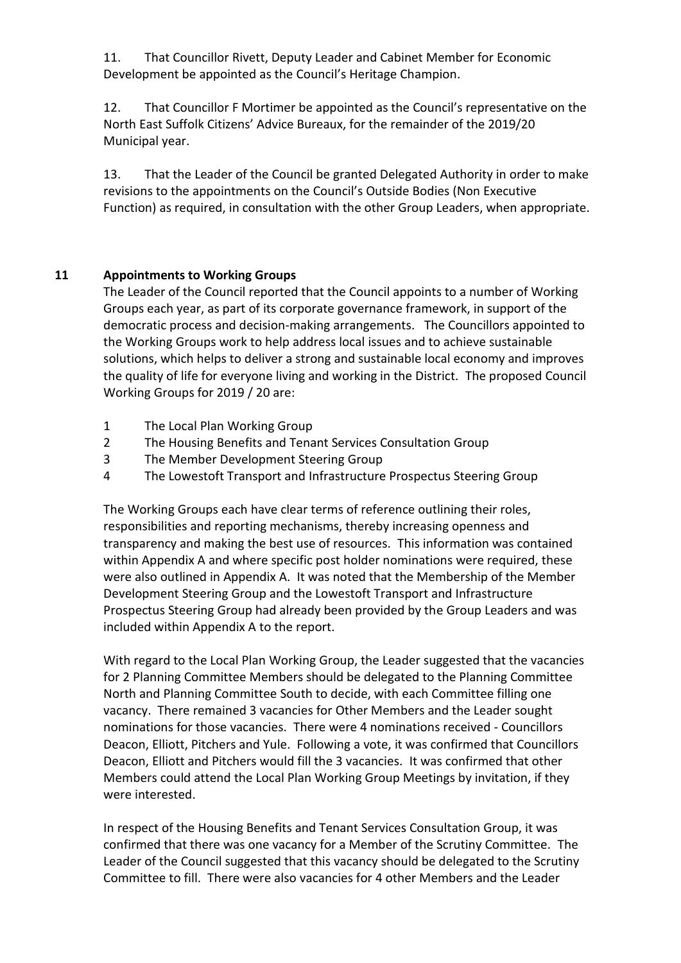11. That Councillor Rivett, Deputy Leader and Cabinet Member for Economic Development be appointed as the Council's Heritage Champion.

12. That Councillor F Mortimer be appointed as the Council's representative on the North East Suffolk Citizens' Advice Bureaux, for the remainder of the 2019/20 Municipal year.

13. That the Leader of the Council be granted Delegated Authority in order to make revisions to the appointments on the Council's Outside Bodies (Non Executive Function) as required, in consultation with the other Group Leaders, when appropriate.

# **11 Appointments to Working Groups**

The Leader of the Council reported that the Council appoints to a number of Working Groups each year, as part of its corporate governance framework, in support of the democratic process and decision-making arrangements. The Councillors appointed to the Working Groups work to help address local issues and to achieve sustainable solutions, which helps to deliver a strong and sustainable local economy and improves the quality of life for everyone living and working in the District. The proposed Council Working Groups for 2019 / 20 are:

- 1 The Local Plan Working Group
- 2 The Housing Benefits and Tenant Services Consultation Group
- 3 The Member Development Steering Group
- 4 The Lowestoft Transport and Infrastructure Prospectus Steering Group

The Working Groups each have clear terms of reference outlining their roles, responsibilities and reporting mechanisms, thereby increasing openness and transparency and making the best use of resources. This information was contained within Appendix A and where specific post holder nominations were required, these were also outlined in Appendix A. It was noted that the Membership of the Member Development Steering Group and the Lowestoft Transport and Infrastructure Prospectus Steering Group had already been provided by the Group Leaders and was included within Appendix A to the report.

With regard to the Local Plan Working Group, the Leader suggested that the vacancies for 2 Planning Committee Members should be delegated to the Planning Committee North and Planning Committee South to decide, with each Committee filling one vacancy. There remained 3 vacancies for Other Members and the Leader sought nominations for those vacancies. There were 4 nominations received - Councillors Deacon, Elliott, Pitchers and Yule. Following a vote, it was confirmed that Councillors Deacon, Elliott and Pitchers would fill the 3 vacancies. It was confirmed that other Members could attend the Local Plan Working Group Meetings by invitation, if they were interested.

In respect of the Housing Benefits and Tenant Services Consultation Group, it was confirmed that there was one vacancy for a Member of the Scrutiny Committee. The Leader of the Council suggested that this vacancy should be delegated to the Scrutiny Committee to fill. There were also vacancies for 4 other Members and the Leader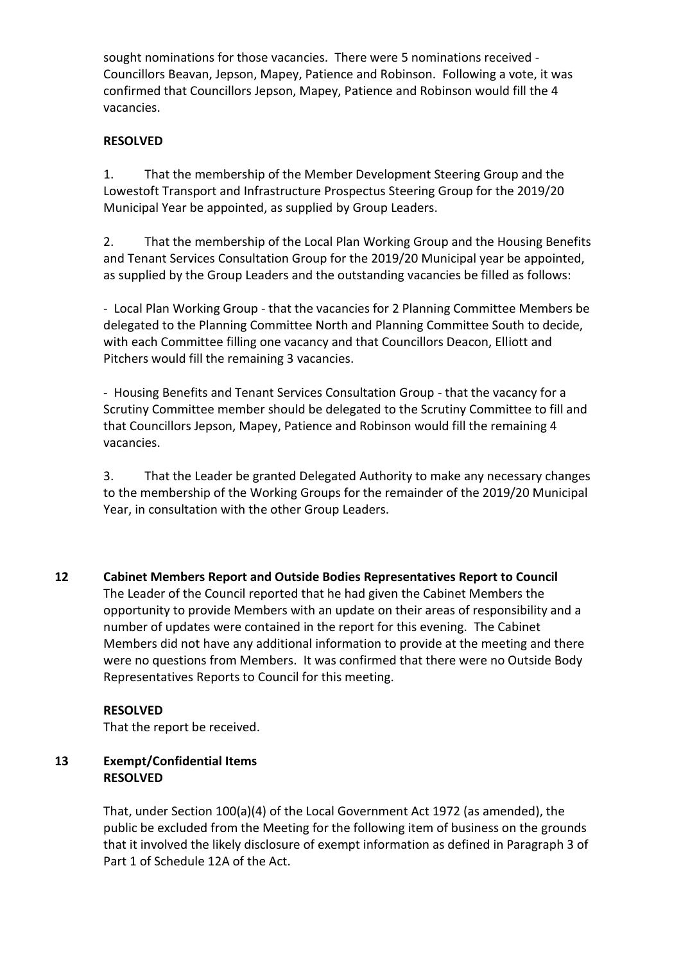sought nominations for those vacancies. There were 5 nominations received - Councillors Beavan, Jepson, Mapey, Patience and Robinson. Following a vote, it was confirmed that Councillors Jepson, Mapey, Patience and Robinson would fill the 4 vacancies.

## **RESOLVED**

1. That the membership of the Member Development Steering Group and the Lowestoft Transport and Infrastructure Prospectus Steering Group for the 2019/20 Municipal Year be appointed, as supplied by Group Leaders.

2. That the membership of the Local Plan Working Group and the Housing Benefits and Tenant Services Consultation Group for the 2019/20 Municipal year be appointed, as supplied by the Group Leaders and the outstanding vacancies be filled as follows:

- Local Plan Working Group - that the vacancies for 2 Planning Committee Members be delegated to the Planning Committee North and Planning Committee South to decide, with each Committee filling one vacancy and that Councillors Deacon, Elliott and Pitchers would fill the remaining 3 vacancies.

- Housing Benefits and Tenant Services Consultation Group - that the vacancy for a Scrutiny Committee member should be delegated to the Scrutiny Committee to fill and that Councillors Jepson, Mapey, Patience and Robinson would fill the remaining 4 vacancies.

3. That the Leader be granted Delegated Authority to make any necessary changes to the membership of the Working Groups for the remainder of the 2019/20 Municipal Year, in consultation with the other Group Leaders.

**12 Cabinet Members Report and Outside Bodies Representatives Report to Council**  The Leader of the Council reported that he had given the Cabinet Members the opportunity to provide Members with an update on their areas of responsibility and a number of updates were contained in the report for this evening. The Cabinet Members did not have any additional information to provide at the meeting and there were no questions from Members. It was confirmed that there were no Outside Body Representatives Reports to Council for this meeting.

#### **RESOLVED**

That the report be received.

### **13 Exempt/Confidential Items RESOLVED**

That, under Section 100(a)(4) of the Local Government Act 1972 (as amended), the public be excluded from the Meeting for the following item of business on the grounds that it involved the likely disclosure of exempt information as defined in Paragraph 3 of Part 1 of Schedule 12A of the Act.